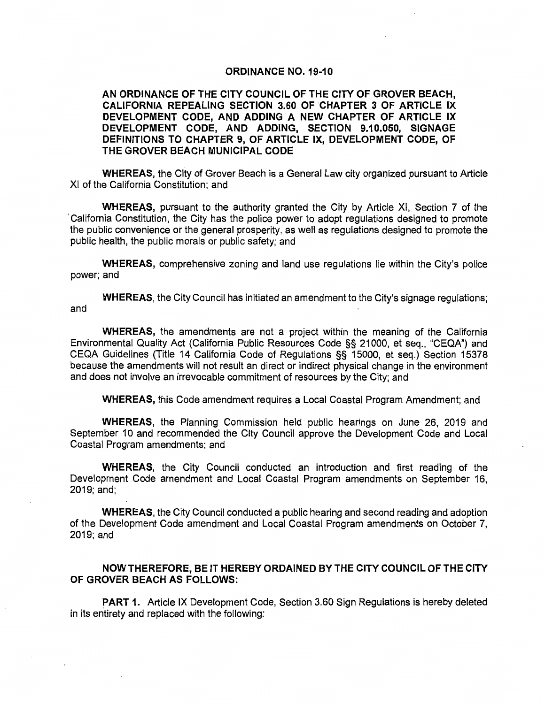#### ORDINANCE NO. 19-10

#### AN ORDINANCE OF THE CITY COUNCIL OF THE CITY OF GROVER BEACH, CALIFORNIA REPEALING SECTION 3.60 OF CHAPTER 3 OF ARTICLE IX DEVELOPMENT CODE, AND ADDING A NEW CHAPTER OF ARTICLE IX DEVELOPMENT CODE, AND ADDING, SECTION 9.10.050, SIGNAGE DEFINITIONS TO CHAPTER 9, OF ARTICLE IX, DEVELOPMENT CODE, OF THE GROVER BEACH MUNICIPAL CODE

WHEREAS, the City of Grover Beach is a General Law city organized pursuant to Article XI of the California Constitution; and

WHEREAS, pursuant to the authority granted the City by Article XI, Section 7 of the 'California Constitution, the City has the police power to adopt regulations designed to promote the public convenience or the general prosperity, as well as regulations designed to promote the public health, the public morals or public safety; and

WHEREAS, comprehensive zoning and land use regulations lie within the City's police power; and

WHEREAS, the City Council has initiated an amendment to the City's signage regulations; and

WHEREAS, the amendments are not a project within the meaning of the California Environmental Quality Act (California Public Resources Code §§ 21000, et seq., "CEQA") and CEQA Guidelines (Title 14 California Code of Regulations §§ 15000, et seq.) Section 15378 because the amendments will not result an direct or indirect physical change in the environment and does not involve an irrevocable commitment of resources by the City; and

WHEREAS, this Code amendment requires a Local Coastal Program Amendment; and

WHEREAS, the Planning Commission held public hearings on June 26, 2019 and September 10 and recommended the City Council approve the Development Code and Local Coastal Program amendments; and

WHEREAS, the City Council conducted an introduction and first reading of the Development Code amendment and Local Coastal Program amendments on September 16, 2019; and;

WHEREAS, the City Council conducted a public hearing and second reading and adoption of the Development Code amendment and Local Coastal Program amendments on October 7, 2019; and

#### NOW THEREFORE, BE IT HEREBY ORDAINED BY THE CITY COUNCIL OF THE CITY OF GROVER BEACH AS FOLLOWS:

PART 1. Article IX Development Code, Section 3.60 Sign Regulations is hereby deleted in its entirety and replaced with the following: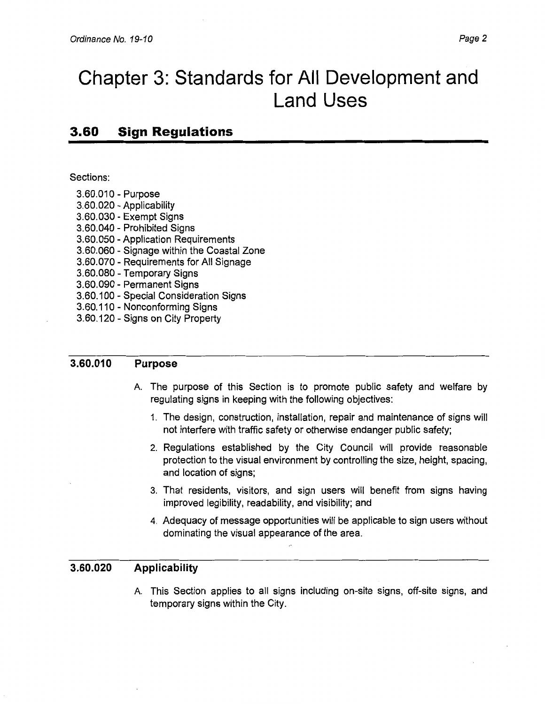# **Chapter 3: Standards for All Development and Land Uses**

# **3.60 Sign Regulations**

Sections:

- 3.60.010 Purpose
- 3.60.020 Applicability
- 3.60.030 Exempt Signs
- 3.60.040 Prohibited Signs
- 3.60.050 Application Requirements
- 3.60.060 Signage within the Coastal Zone
- 3.60.070 Requirements for All Signage
- 3.60.080 Temporary Signs
- 3.60.090 Permanent Signs
- 3.60.100 Special Consideration Signs
- 3.60.110 Nonconforming Signs
- 3.60.120 Signs on City Property

#### **3.60.010 Purpose**

- A. The purpose of this Section is to promote public safety and welfare by regulating signs in keeping with the following objectives:
	- 1. The design, construction, installation, repair and maintenance of signs will not interfere with traffic safety or otherwise endanger public safety;
	- 2. Regulations established by the City Council will provide reasonable protection to the visual environment by controlling the size, height, spacing, and location of signs;
	- 3. That residents, visitors, and sign users will benefit from signs having improved legibility, readability, and visibility; and
	- 4. Adequacy of message opportunities will be applicable to sign users without dominating the visual appearance of the area.

#### **3.60.020 Applicability**

A. This Section applies to all signs including on-site signs, off-site signs, and temporary signs within the City.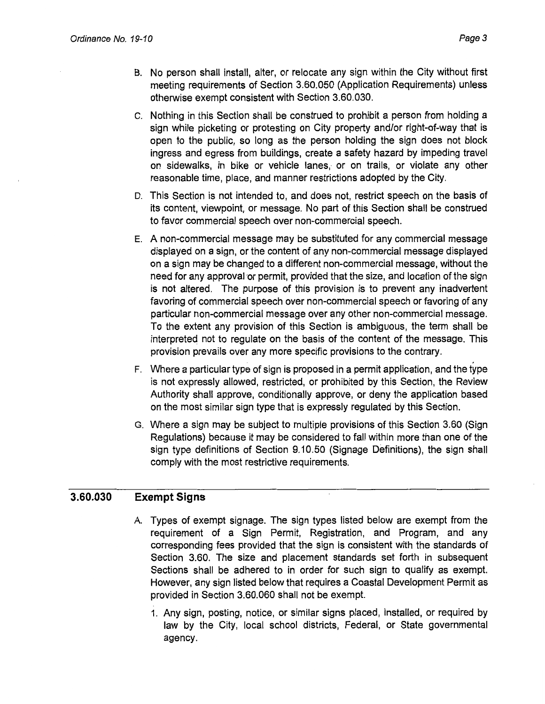- B. No person shall install, alter, or relocate any sign within the City without first meeting requirements of Section 3.60.050 (Application Requirements) unless otherwise exempt consistent with Section 3.60.030.
- c. Nothing in this Section shall be construed to prohibit a person from holding a sign while picketing or protesting on City property and/or right-of-way that is open to the public, so long as the person holding the sign does not block ingress and egress from buildings, create a safety hazard by impeding travel on sidewalks, in bike or vehicle lanes, or on trails, or violate any other reasonable time, place, and manner restrictions adopted by the City.
- D. This Section is not intended to, and does not, restrict speech on the basis of its content, viewpoint, or message. No part of this Section shall be construed to favor commercial speech over non-commercial speech.
- E. A non-commercial message may be substituted for any commercial message displayed on a sign, or the content of any non-commercial message displayed on a sign may be changed to a different non-commercial message, without the need for any approval or permit, provided that the size, and location of the sign is not altered. The purpose of this provision is to prevent any inadvertent favoring of commercial speech over non-commercial speech or favoring of any particular non-commercial message over any other non-commercial message. To the extent any provision of this Section is ambiguous, the term shall be interpreted not to regulate on the basis of the content of the message. This provision prevails over any more specific provisions to the contrary.
- F. Where a particular type of sign is proposed in a permit application, and the type is not expressly allowed, restricted, or prohibited by this Section, the Review Authority shall approve, conditionally approve, or deny the application based on the most similar sign type that is expressly regulated by this Section.
- G. Where a sign may be subject to multiple provisions of this Section 3.60 (Sign Regulations) because it may be considered to fall within more than one of the sign type definitions of Section 9.10.50 (Signage Definitions), the sign shall comply with the most restrictive requirements.

#### **3.60.030 Exempt Signs**

- A. Types of exempt signage. The sign types listed below are exempt from the requirement of a Sign Permit, Registration, and Program, and any corresponding fees provided that the sign is consistent with the standards of Section 3.60. The size and placement standards set forth in subsequent Sections shall be adhered to in order for such sign to qualify as exempt. However, any sign listed below that requires a Coastal Development Permit as provided in Section 3.60.060 shall not be exempt.
	- 1. Any sign, posting, notice, or similar signs placed, installed, or required by law by the City, local school districts, Federal, or State governmental agency.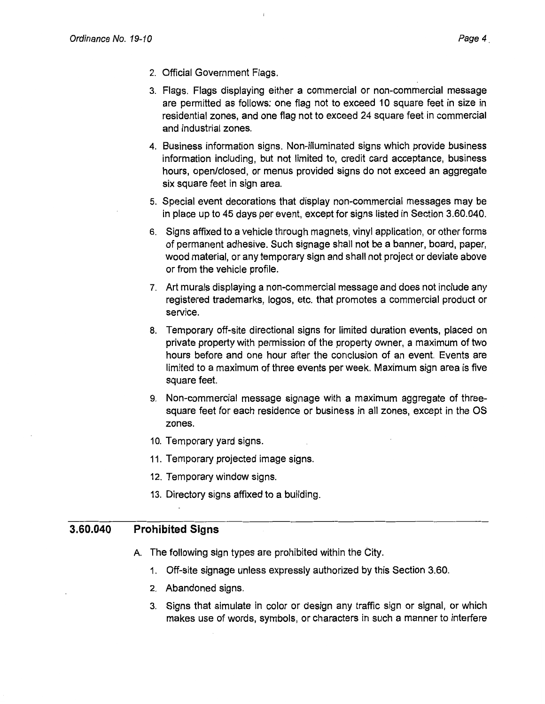- 2. Official Government Flags.
- 3. Flags. Flags displaying either a commercial or non-commercial message are permitted as follows: one flag not to exceed 10 square feet in size in residential zones, and one flag not to exceed 24 square feet in commercial and industrial zones.
- 4. Business information signs. Non-illuminated signs which provide business information including, but not limited to, credit card acceptance, business hours, open/closed, or menus provided signs do not exceed an aggregate six square feet in sign area.
- 5. Special event decorations that display non-commercial messages may be in place up to 45 days per event, except for signs listed in Section 3.60.040.
- 6. Signs affixed to a vehicle through magnets, vinyl application, or other forms of permanent adhesive. Such signage shall not be a banner, board, paper, wood material, or any temporary sign and shall not project or deviate above or from the vehicle profile.
- 7. Art murals displaying a non-commercial message and does not include any registered trademarks, logos, etc. that promotes a commercial product or service.
- 8. Temporary off-site directional signs for limited duration events, placed on private property with permission of the property owner, a maximum of two hours before and one hour after the conclusion of an event. Events are limited to a maximum of three events per week. Maximum sign area is five square feet.
- 9. Non-commercial message signage with a maximum aggregate of threesquare feet for each residence or business in all zones, except in the OS zones.
- 10. Temporary yard signs.
- 11. Temporary projected image signs.
- 12. Temporary window signs.
- 13. Directory signs affixed to a building.

#### **3.60.040 Prohibited Signs**

- A. The following sign types are prohibited within the City.
	- 1. Off-site signage unless expressly authorized by this Section 3.60.
	- 2. Abandoned signs.
	- 3. Signs that simulate in color or design any traffic sign or signal, or which makes use of words, symbols, or characters in such a manner to interfere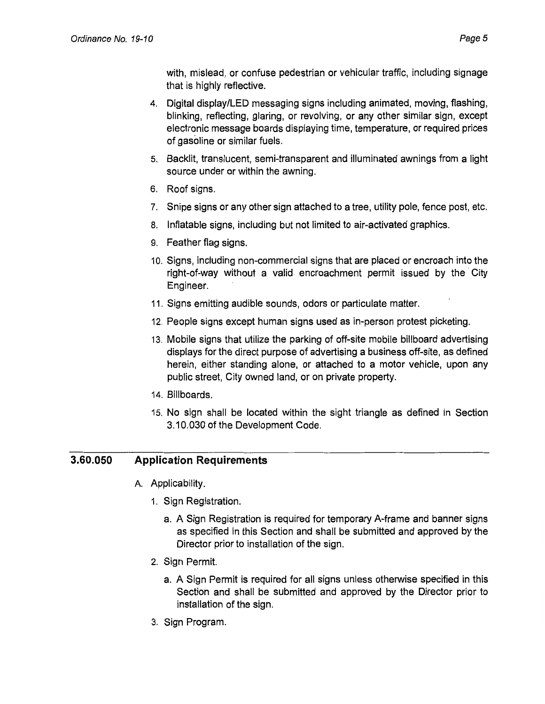with, mislead, or confuse pedestrian or vehicular traffic, including signage that is highly reflective.

- 4. Digital display/LED messaging signs including animated, moving, flashing, blinking, reflecting, glaring, or revolving, or any other similar sign, except electronic message boards displaying time, temperature, or required prices of gasoline or similar fuels.
- 5. Backlit, translucent, semi-transparent and illuminated awnings from a light source under or within the awning.
- 6. Roof signs.
- 7. Snipe signs or any other sign attached to a tree, utility pole, fence post, etc.
- 8. Inflatable signs, including but not limited to air-activated graphics.
- 9. Feather flag signs.
- 1 O. Signs, including non-commercial signs that are placed or encroach into the right-of-way without a valid encroachment permit issued by the City Engineer.
- 11. Signs emitting audible sounds, odors or particulate matter.
- 12. People signs except human signs used as in-person protest picketing.
- 13. Mobile signs that utilize the parking of off-site mobile billboard advertising displays for the direct purpose of advertising a business off-site, as defined herein, either standing alone, or attached to a motor vehicle, upon any public street, City owned land, or on private property.
- 14. Billboards.
- 15. No sign shall be located within the sight triangle as defined in Section 3.10.030 of the Development Code.

#### **3.60.050 Application Requirements**

- A. Applicability.
	- 1. Sign Registration.
		- a. A Sign Registration is required for temporary A-frame and banner signs as specified in this Section and shall be submitted and approved by the Director prior to installation of the sign.
	- 2. Sign Permit.
		- a. A Sign Permit is required for all signs unless otherwise specified in this Section and shall be submitted and approved by the Director prior to installation of the sign.
	- 3. Sign Program.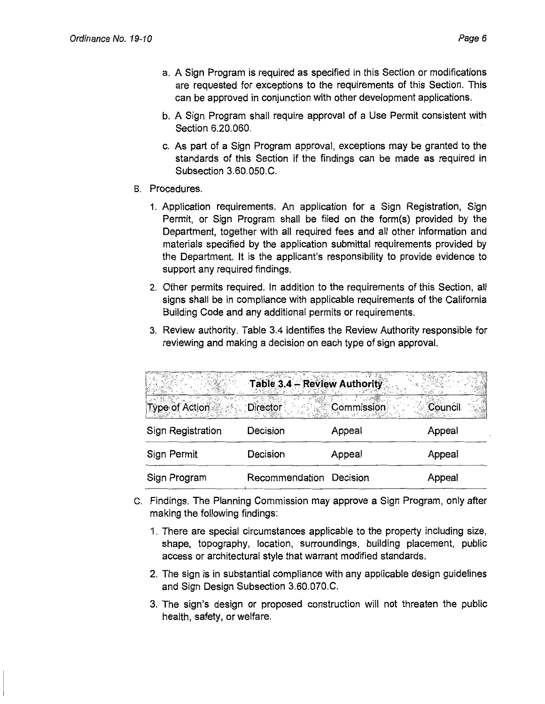- b. A Sign Program shall require approval of a Use Permit consistent with Section 6.20.060.
- c. As part of a Sign Program approval, exceptions may be granted to the standards of this Section if the findings can be made as required in Subsection 3.60.050.C.
- B. Procedures.
	- 1. Application requirements. An application for a Sign Registration, Sign Permit, or Sign Program shall be filed on the form(s) provided by the Department, together with all required fees and all other information and materials specified by the application submittal requirements provided by the Department. It is the applicant's responsibility to provide evidence to support any required findings.
	- 2. Other permits required. In addition to the requirements of this Section, all signs shall be in compliance with applicable requirements of the California Building Code and any additional permits or requirements.
	- 3. Review authority. Table 3.4 identifies the Review Authority responsible for reviewing and making a decision on each type of sign approval.

|                       | Table 3.4 - Review Authority |            |         |
|-----------------------|------------------------------|------------|---------|
| <b>Type of Action</b> | <b>Director</b>              | Commission | Council |
| Sign Registration     | Decision                     | Appeal     | Appeal  |
| Sign Permit           | Decision                     | Appeal     | Appeal  |
| Sign Program          | Recommendation               | Decision   | Appeal  |

- c. Findings. The Planning Commission may approve a Sign Program, only after making the following findings:
	- 1. There are special circumstances applicable to the property including size, shape, topography, location, surroundings, building placement, public access or architectural style that warrant modified standards.
	- 2. The sign is in substantial compliance with any applicable design guidelines and Sign Design Subsection 3.60.070.C.
	- 3. The sign's design or proposed construction will not threaten the public health, safety, or welfare.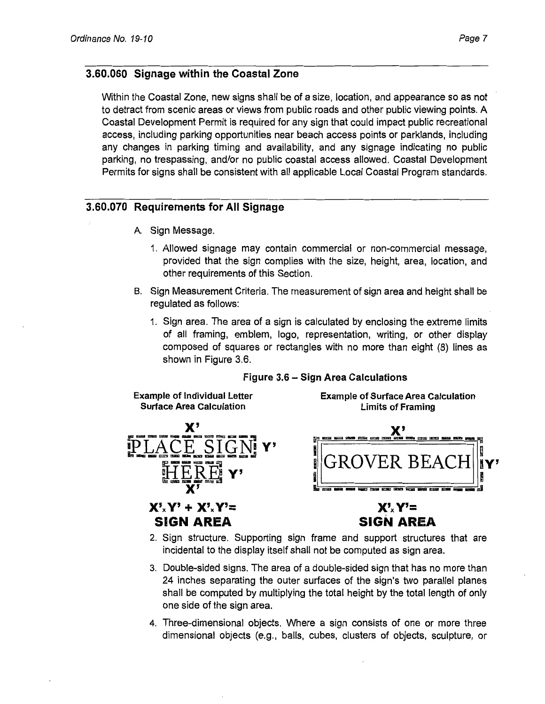## 3.60.060 Signage within the Coastal Zone

Within the Coastal Zone, new signs shall be of a size, location, and appearance so as not to detract from scenic areas or views from public roads and other public viewing points. A Coastal Development Permit is required for any sign that could impact public recreational access, including parking opportunities near beach access points or parklands, including any changes in parking timing and availability, and any signage indicating no public parking, no trespassing, and/or no public coastal access allowed. Coastal Development Permits for signs shall be consistent with all applicable Local Coastal Program standards.

### 3.60.070 Requirements for All Signage

- A. Sign Message.
	- 1. Allowed signage may contain commercial or non-commercial message, provided that the sign complies with the size, height, area, location, and other requirements of this Section.
- B. Sign Measurement Criteria. The measurement of sign area and height shall be regulated as follows:
	- 1. Sign area. The area of a sign is calculated by enclosing the extreme limits of all framing, emblem, logo, representation, writing, or other display composed of squares or rectangles with no more than eight (8) lines as shown in Figure 3.6.

### Figure 3.6 - Sign Area Calculations

Example of Individual Letter Surface Area Calculation



 $X'_{x}Y' + X'_{x}Y' =$ SIGN AREA

Example of Surface Area Calculation Limits of Framing



# $X'$ <sub>x</sub> $Y'$ = SIGN AREA

- 2. Sign structure. Supporting sign frame and support structures that are incidental to the display itself shall not be computed as sign area.
- 3. Double-sided signs. The area of a double-sided sign that has no more than 24 inches separating the outer surfaces of the sign's two parallel planes shall be computed by multiplying the total height by the total length of only one side of the sign area.
- 4. Three-dimensional objects. Where a sign consists of one or more three dimensional objects (e.g., balls, cubes, clusters of objects, sculpture, or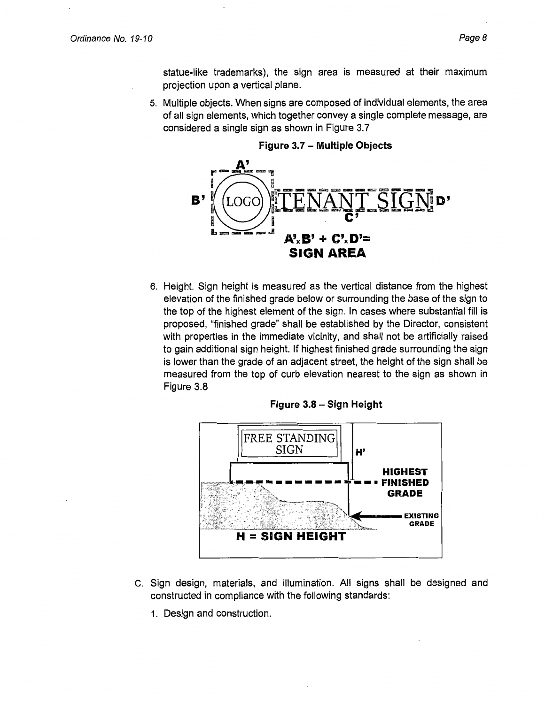5. Multiple objects. When signs are composed of individual elements, the area of all sign elements, which together convey a single complete message, are considered a single sign as shown in Figure 3.7



6. Height. Sign height is measured as the vertical distance from the highest elevation of the finished grade below or surrounding the base of the sign to the top of the highest element of the sign. In cases where substantial fill is proposed, "finished grade" shall be established by the Director, consistent with properties in the immediate vicinity, and shall not be artificially raised to gain additional sign height. If highest finished grade surrounding the sign is lower than the grade of an adjacent street, the height of the sign shall be measured from the top of curb elevation nearest to the sign as shown in Figure 3.8





- c. Sign design, materials, and illumination. All signs shall be designed and constructed in compliance with the following standards:
	- 1. Design and construction.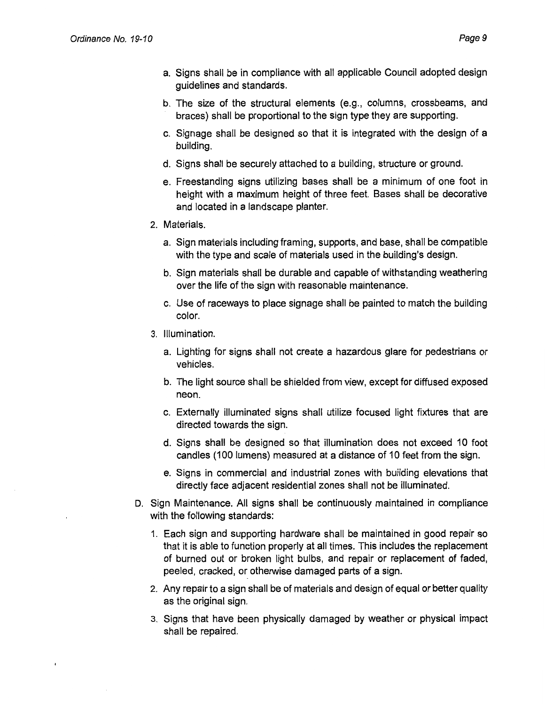- a. Signs shall be in compliance with all applicable Council adopted design guidelines and standards.
- b. The size of the structural elements (e.g., columns, crossbeams, and braces) shall be proportional to the sign type they are supporting.
- c. Signage shall be designed so that it is integrated with the design of a building.
- d. Signs shall be securely attached to a building, structure or ground.
- e. Freestanding signs utilizing bases shall be a minimum of one foot in height with a maximum height of three feet. Bases shall be decorative and located in a landscape planter.
- 2. Materials.
	- a. Sign materials including framing, supports, and base, shall be compatible with the type and scale of materials used in the building's design.
	- b. Sign materials shall be durable and capable of withstanding weathering over the life of the sign with reasonable maintenance.
	- c. Use of raceways to place signage shall be painted to match the building color.
- 3. Illumination.
	- a. Lighting for signs shall not create a hazardous glare for pedestrians or vehicles.
	- b. The light source shall be shielded from view, except for diffused exposed neon.
	- c. Externally illuminated signs shall utilize focused light fixtures that are directed towards the sign.
	- d. Signs shall be designed so that illumination does not exceed 10 foot candles (100 lumens) measured at a distance of 10 feet from the sign.
	- e. Signs in commercial and industrial zones with building elevations that directly face adjacent residential zones shall not be illuminated.
- D. Sign Maintenance. All signs shall be continuously maintained in compliance with the following standards:
	- 1. Each sign and supporting hardware shall be maintained in good repair so that it is able to function properly at all times. This includes the replacement of burned out or broken light bulbs, and repair or replacement of faded, peeled, cracked, or otherwise damaged parts of a sign.
	- 2. Any repair to a sign shall be of materials and design of equal or better quality as the original sign.
	- 3. Signs that have been physically damaged by weather or physical impact shall be repaired.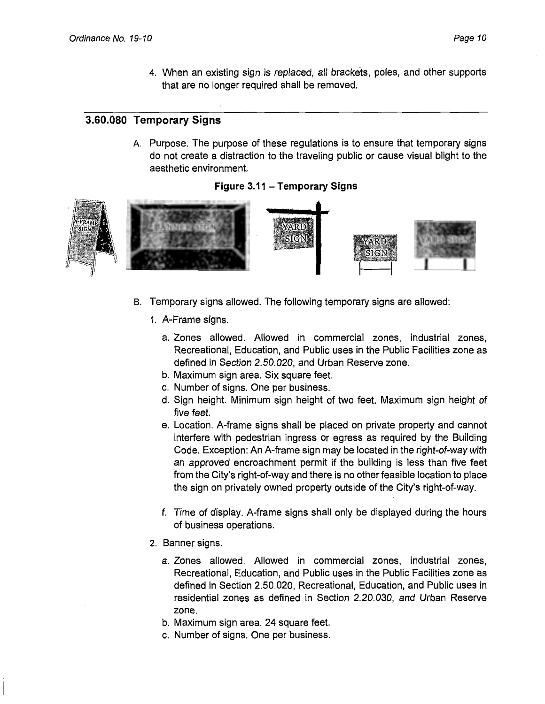4. When an existing sign is replaced, all brackets, poles, and other supports that are no longer required shall be removed.

# **3.60.080 Temporary Signs**

A. Purpose. The purpose of these regulations is to ensure that temporary signs do not create a distraction to the traveling public or cause visual blight to the aesthetic environment.





- B. Temporary signs allowed. The following temporary signs are allowed:
	- 1. A-Frame signs.
		- a. Zones allowed. Allowed in commercial zones, industrial zones, Recreational, Education, and Public uses in the Public Facilities zone as defined in Section 2.50.020, and Urban Reserve zone.
		- b. Maximum sign area. Six square feet.
		- c. Number of signs. One per business.
		- d. Sign height. Minimum sign height of two feet. Maximum sign height of five feet.
		- e. Location. A-frame signs shall be placed on private property and cannot interfere with pedestrian ingress or egress as required by the Building Code. Exception: An A-frame sign may be located in the right-of-way with an approved encroachment permit if the building is less than five feet from the City's right-of-way and there is no other feasible location to place the sign on privately owned property outside of the City's right-of-way.
		- f. Time of display. A-frame signs shall only be displayed during the hours of business operations.
	- 2. Banner signs.
		- a. Zones allowed. Allowed in commercial zones, industrial zones, Recreational, Education, and Public uses in the Public Facilities zone as defined in Section 2.50.020, Recreational, Education, and Public uses in residential zones as defined in Section 2.20.030, and Urban Reserve zone.
		- b. Maximum sign area. 24 square feet.
		- c. Number of signs. One per business.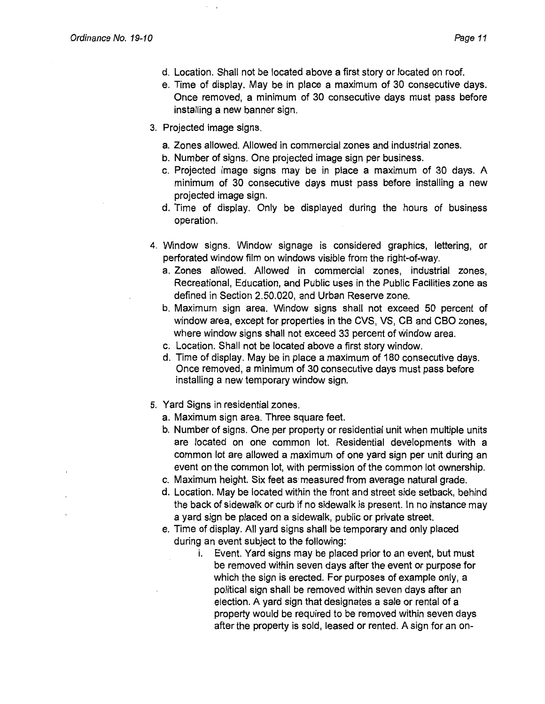- d. Location. Shall not be located above a first story or located on roof.
- e. Time of display. May be in place a maximum of 30 consecutive days. Once removed, a minimum of 30 consecutive days must pass before installing a new banner sign.
- 3. Projected image signs.
	- a. Zones allowed. Allowed in commercial zones and industrial zones.
	- b. Number of signs. One projected image sign per business.
	- c. Projected image signs may be in place a maximum of 30 days. A minimum of 30 consecutive days must pass before installing a new projected image sign.
	- d. Time of display. Only be displayed during the hours of business operation.
- 4. Window signs. Window signage is considered graphics, lettering, or perforated window film on windows visible from the right-of-way.
	- a. Zones allowed. Allowed in commercial zones, industrial zones, Recreational, Education, and Public uses in the Public Facilities zone as defined in Section 2.50.020, and Urban Reserve zone.
	- b. Maximum sign area. Window signs shall not exceed 50 percent of window area, except for properties in the CVS, VS, CB and CBO zones, where window signs shall not exceed 33 percent of window area.
	- c. Location. Shall not be located above a first story window.
	- d. Time of display. May be in place a maximum of 180 consecutive days. Once removed, a minimum of 30 consecutive days must pass before installing a new temporary window sign.
- 5. Yard Signs in residential zones.
	- a. Maximum sign area. Three square feet.
	- b. Number of signs. One per property or residential unit when multiple units are located on one common lot. Residential developments with a common lot are allowed a maximum of one yard sign per unit during an event on the common lot, with permission of the common lot ownership.
	- c. Maximum height. Six feet as· measured from average natural grade.
	- d. Location. May be located within the front and street side setback, behind the back of sidewalk or curb if no sidewalk is present. In no instance may a yard sign be placed on a sidewalk, public or private street.
	- e. Time of display. All yard signs shall be temporary and only placed during an event subject to the following:
		- i. Event. Yard signs may be placed prior to an event, but must be removed within seven days after the event or purpose for which the sign is erected. For purposes of example only, a political sign shall be removed within seven days after an election. A yard sign that designates a sale or rental of a property would be required to be removed within seven days after the property is sold, leased or rented. A sign for an on-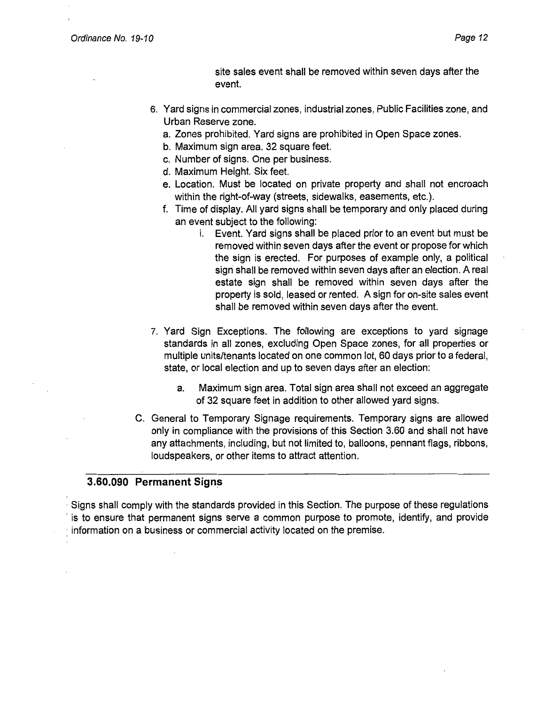site sales event shall be removed within seven days after the event.

- 6. Yard signs in commercial zones, industrial zones, Public Facilities zone, and Urban Reserve zone.
	- a. Zones prohibited. Yard signs are prohibited in Open Space zones.
	- b. Maximum sign area. 32 square feet.
	- c. Number of signs. One per business.
	- d. Maximum Height. Six feet.
	- e. Location. Must be located on private property and shall not encroach within the right-of-way (streets, sidewalks, easements, etc.).
	- f. Time of display. All yard signs shall be temporary and only placed during an event subject to the following:
		- i. Event. Yard signs shall be placed prior to an event but must be removed within seven days after the event or propose for which the sign is erected. For purposes of example only, a political sign shall be removed within seven days after an election. A real estate sign shall be removed within seven days after the property is sold, leased or rented. A sign for on-site sales event shall be removed within seven days after the event.
- 7. Yard Sign Exceptions. The following are exceptions to yard signage standards in all zones, excluding Open Space zones, for all properties or multiple units/tenants located on one common lot, 60 days prior to a federal, state, or local election and up to seven days after an election:
	- a. Maximum sign area. Total sign area shall not exceed an aggregate of 32 square feet in addition to other allowed yard signs.
- C. General to Temporary Signage requirements. Temporary signs are allowed only in compliance with the provisions of this Section 3.60 and shall not have any attachments, including, but not limited to, balloons, pennant flags, ribbons, loudspeakers, or other items to attract attention.

### **3.60.090 Permanent Signs**

· Signs shall comply with the standards provided in this Section. The purpose of these regulations is to ensure that permanent signs serve a common purpose to promote, identify, and provide : information on a business or commercial activity located on the premise.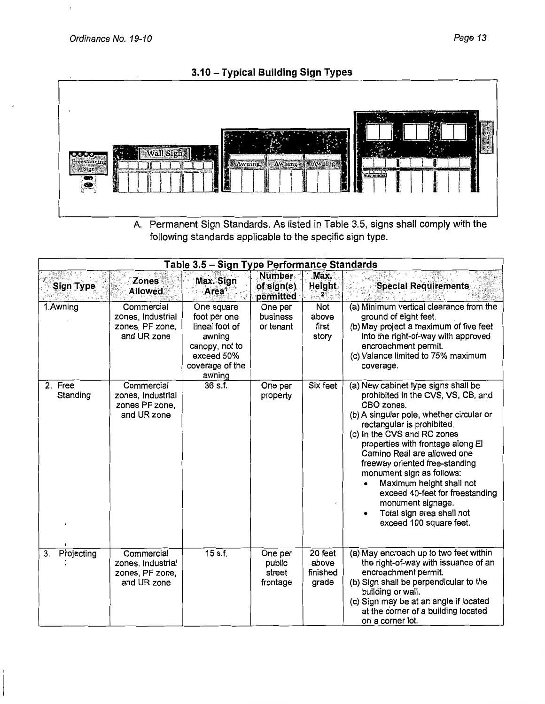Î,



A. Permanent Sign Standards. As listed in Table 3.5, signs shall comply with the following standards applicable to the specific sign type.

| Table 3.5 - Sign Type Performance Standards |                                                                   |                                                                                                                     |                                          |                                       |                                                                                                                                                                                                                                                                                                                                                                                                                                                                                 |  |  |
|---------------------------------------------|-------------------------------------------------------------------|---------------------------------------------------------------------------------------------------------------------|------------------------------------------|---------------------------------------|---------------------------------------------------------------------------------------------------------------------------------------------------------------------------------------------------------------------------------------------------------------------------------------------------------------------------------------------------------------------------------------------------------------------------------------------------------------------------------|--|--|
| Sign Type                                   | Zones<br><b>Allowed</b>                                           | Max. Sign<br>Area <sup>1</sup>                                                                                      | <b>Number</b><br>of sign(s)<br>permitted | Max.<br>Height.                       | <b>Special Requirements</b>                                                                                                                                                                                                                                                                                                                                                                                                                                                     |  |  |
| 1.Awning                                    | Commercial<br>zones, Industrial<br>zones, PF zone,<br>and UR zone | One square<br>foot per one<br>lineal foot of<br>awning<br>canopy, not to<br>exceed 50%<br>coverage of the<br>awning | One per<br>business<br>or tenant         | Not<br>above<br>first<br>story        | (a) Minimum vertical clearance from the<br>ground of eight feet.<br>(b) May project a maximum of five feet<br>into the right-of-way with approved<br>encroachment permit.<br>(c) Valance limited to 75% maximum<br>coverage.                                                                                                                                                                                                                                                    |  |  |
| 2. Free<br>Standing                         | Commercial<br>zones, Industrial<br>zones PF zone,<br>and UR zone  | $36$ s.f.                                                                                                           | One per<br>property                      | Six feet                              | (a) New cabinet type signs shall be<br>prohibited in the CVS, VS, CB, and<br>CBO zones.<br>(b) A singular pole, whether circular or<br>rectangular is prohibited.<br>(c) In the CVS and RC zones<br>properties with frontage along El<br>Camino Real are allowed one<br>freeway oriented free-standing<br>monument sign as follows:<br>Maximum height shall not<br>exceed 40-feet for freestanding<br>monument signage.<br>Total sign area shall not<br>exceed 100 square feet. |  |  |
| Projecting<br>3.                            | Commercial<br>zones, Industrial<br>zones, PF zone,<br>and UR zone | $15$ s.f.                                                                                                           | One per<br>public<br>street<br>frontage  | 20 feet<br>above<br>finished<br>grade | (a) May encroach up to two feet within<br>the right-of-way with issuance of an<br>encroachment permit.<br>(b) Sign shall be perpendicular to the<br>building or wall.<br>(c) Sign may be at an angle if located<br>at the corner of a building located<br>on a corner lot.                                                                                                                                                                                                      |  |  |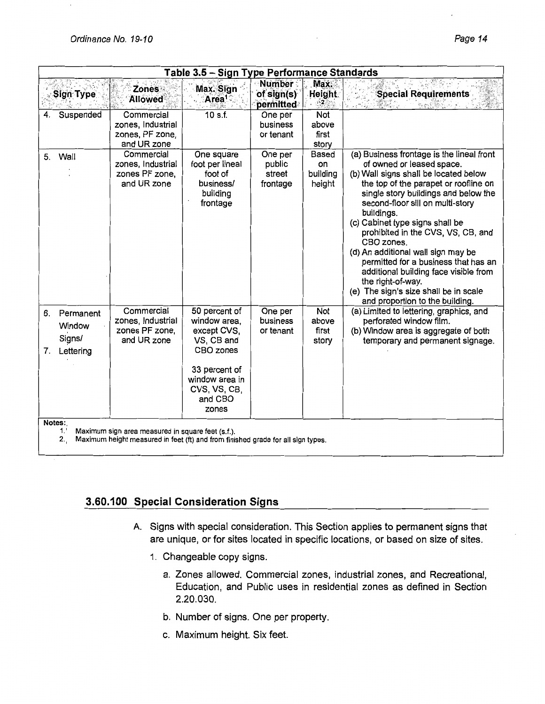| Table 3.5 - Sign Type Performance Standards |                                                                    |                                                                   |                                                                                                                                                |                                           |                                          |                                                                                                                                                                                                                                                                                                                                                                                                                                                                                                                                                                   |  |
|---------------------------------------------|--------------------------------------------------------------------|-------------------------------------------------------------------|------------------------------------------------------------------------------------------------------------------------------------------------|-------------------------------------------|------------------------------------------|-------------------------------------------------------------------------------------------------------------------------------------------------------------------------------------------------------------------------------------------------------------------------------------------------------------------------------------------------------------------------------------------------------------------------------------------------------------------------------------------------------------------------------------------------------------------|--|
|                                             | Sign Type                                                          | <b>Zones</b><br><b>Allowed</b>                                    | Max. Sign<br>Area <sup>1</sup>                                                                                                                 | <b>Number:</b><br>of sign(s)<br>permitted | Max.<br><b>Height</b>                    | <b>Special Requirements</b>                                                                                                                                                                                                                                                                                                                                                                                                                                                                                                                                       |  |
|                                             | Suspended                                                          | Commercial<br>zones, Industrial<br>zones, PF zone,<br>and UR zone | 10 s.f.                                                                                                                                        | One per<br>business<br>or tenant          | Not<br>above<br>first<br>story           |                                                                                                                                                                                                                                                                                                                                                                                                                                                                                                                                                                   |  |
| 5.                                          | Wall                                                               | Commercial<br>zones, Industrial<br>zones PF zone,<br>and UR zone  | One square<br>foot per lineal<br>foot of<br>business/<br>building<br>frontage                                                                  | One per<br>public<br>street<br>frontage   | <b>Based</b><br>on<br>building<br>height | (a) Business frontage is the lineal front<br>of owned or leased space.<br>(b) Wall signs shall be located below<br>the top of the parapet or roofline on<br>single story buildings and below the<br>second-floor sill on multi-story<br>buildings.<br>(c) Cabinet type signs shall be<br>prohibited in the CVS, VS, CB, and<br>CBO zones.<br>(d) An additional wall sign may be<br>permitted for a business that has an<br>additional building face visible from<br>the right-of-way.<br>(e) The sign's size shall be in scale<br>and proportion to the building. |  |
| 6.<br>7.                                    | Permanent<br>Window<br>Signs/<br>Lettering                         | Commercial<br>zones, Industrial<br>zones PF zone,<br>and UR zone  | 50 percent of<br>window area,<br>except CVS,<br>VS, CB and<br>CBO zones<br>33 percent of<br>window area in<br>CVS, VS, CB,<br>and CBO<br>zones | One per<br>business<br>or tenant          | Not<br>above<br>first<br>story           | (a) Limited to lettering, graphics, and<br>perforated window film.<br>(b) Window area is aggregate of both<br>temporary and permanent signage.                                                                                                                                                                                                                                                                                                                                                                                                                    |  |
|                                             | Notes:<br>1.1<br>Maximum sign area measured in square feet (s.f.). |                                                                   |                                                                                                                                                |                                           |                                          |                                                                                                                                                                                                                                                                                                                                                                                                                                                                                                                                                                   |  |

#### 2., Maximum height measured in feet (ft) and from finished grade for all sign types.

### 3.60.100 Special Consideration Signs

- A. Signs with special consideration. This Section applies to permanent signs that are unique, or for sites located in specific locations, or based on size of sites.
	- 1. Changeable copy signs.
		- a. Zones allowed. Commercial zones, industrial zones, and Recreational, Education, and Public uses in residential zones as defined in Section 2.20.030.
		- b. Number of signs. One per property.
		- c. Maximum height. Six feet.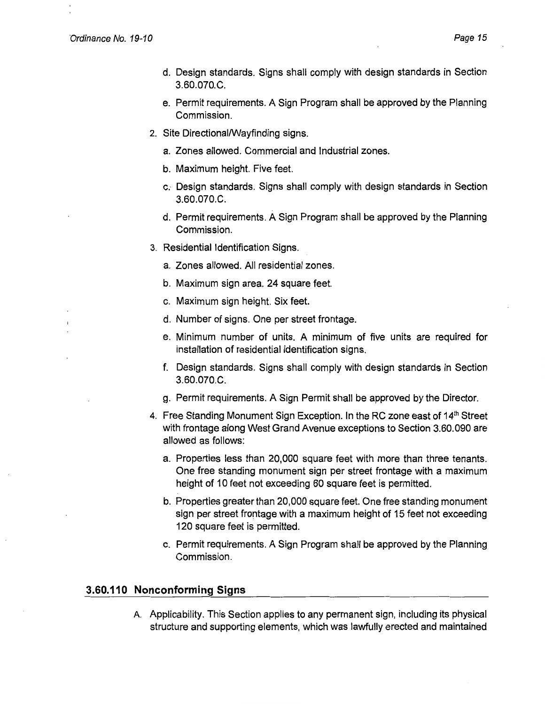- d. Design standards. Signs shall comply with design standards in Section 3.60.070.C.
- e. Permit requirements. A Sign Program shall be approved by the Planning Commission.
- 2. Site Directional/Wayfinding signs.
	- a. Zones allowed. Commercial and Industrial zones.
	- b. Maximum height. Five feet.
	- c., Design standards. Signs shall comply with design standards in Section 3.60.070.C.
	- d. Permit requirements. A Sign Program shall be approved by the Planning Commission.
- 3. Residential Identification Signs.
	- a. Zones allowed. All residential zones.
	- b. Maximum sign area. 24 square feet.
	- c. Maximum sign height. Six feet.
	- d. Number of signs. One per street frontage.
	- e. Minimum number of units. A minimum of five units are required for installation of residential identification signs.
	- f. Design standards. Signs shall comply with design standards in Section 3.60.070.C.
	- g. Permit requirements. A Sign Permit shall be approved by the Director.
- 4. Free Standing Monument Sign Exception. In the RC zone east of 14<sup>th</sup> Street with frontage along West Grand Avenue exceptions to Section 3.60.090 are allowed as follows:
	- a. Properties less than 20,000 square feet with more than three tenants. One free standing monument sign per street frontage with a maximum height of 10 feet not exceeding 60 square feet is permitted.
	- b. Properties greater than 20,000 square feet. One free standing monument sign per street frontage with a maximum height of 15 feet not exceeding 120 square feet is permitted.
	- c. Permit requirements. A Sign Program shall be approved by the Planning Commission.

#### **3.60.110 Nonconforming Signs**

A. Applicability. This Section applies to any permanent sign, including its physical structure and supporting elements, which was lawfully erected and maintained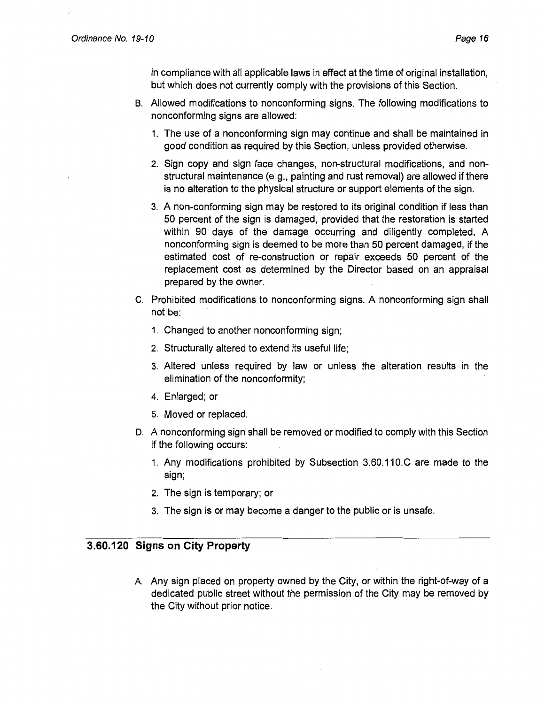in compliance with all applicable laws in effect at the time of original installation, but which does not currently comply with the provisions of this Section.

- B. Allowed modifications to nonconforming signs. The following modifications to nonconforming signs are allowed:
	- 1. The use of a nonconforming sign may continue and shall be maintained in good condition as required by this Section, unless provided otherwise.
	- 2. Sign copy and sign face changes, non-structural modifications, and nonstructural maintenance (e.g., painting and rust removal) are allowed if there is no alteration to the physical structure or support elements of the sign.
	- 3. A non-conforming sign may be restored to its original condition if less than 50 percent of the sign is damaged, provided that the restoration is started within 90 days of the damage occurring and diligently completed. A nonconforming sign is deemed to be more than 50 percent damaged, if the estimated cost of re-construction or repair exceeds 50 percent of the replacement cost as determined by the Director based on an appraisal prepared by the owner.
- C. Prohibited modifications to nonconforming signs. A nonconforming sign shall not be:
	- 1. Changed to another nonconforming sign;
	- 2. Structurally altered to extend its useful life;
	- 3. Altered unless required by law or unless the alteration results in the elimination of the nonconformity;
	- 4. Enlarged; or
	- 5. Moved or replaced.
- D. A nonconforming sign shall be removed or modified to comply with this Section if the following occurs:
	- 1. Any modifications prohibited by Subsection 3.60.11 O.C are made to the sign;
	- 2. The sign is temporary; or
	- 3. The sign is or may become a danger to the public or is unsafe.

### **3.60.120 Signs on City Property**

A Any sign placed on property owned by the City, or within the right-of-way of a dedicated public street without the permission of the City may be removed by the City without prior notice.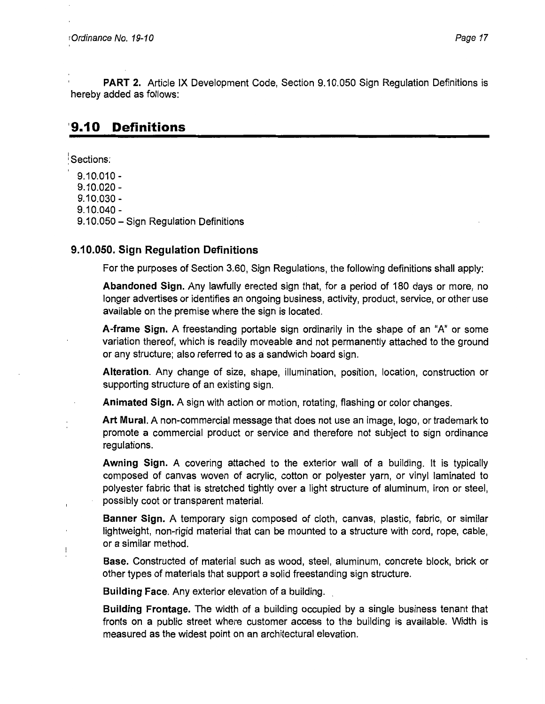**PART 2.** Article IX Development Code, Section 9.10.050 Sign Regulation Definitions is hereby added as follows:

# **'9.10 Definitions**

Sections:

9.10.010 - 9.10.020 -

9.10.030 -

9.10.040 -

9.10.050 - Sign Regulation Definitions

### **9.10.050. Sign Regulation Definitions**

For the purposes of Section 3.60, Sign Regulations, the following definitions shall apply:

**Abandoned Sign.** Any lawfully erected sign that, for a period of 180 days or more, no longer advertises or identifies an ongoing business, activity, product, service, or other use available on the premise where the sign is located.

**A-frame Sign.** A freestanding portable sign ordinarily in the shape of an "A" or some variation thereof, which is readily moveable and not permanently attached to the ground or any structure; also referred to as a sandwich board sign.

**Alteration.** Any change of size, shape, illumination, position, location, construction or supporting structure of an existing sign.

**Animated Sign.** A sign with action or motion, rotating, flashing or color changes.

**Art Mural.** A non-commercial message that does not use an image, logo, or trademark to promote a commercial product or service and therefore not subject to sign ordinance regulations.

**Awning Sign.** A covering attached to the exterior wall of a building. It is typically composed of canvas woven of acrylic, cotton or polyester yarn, or vinyl laminated to polyester fabric that is stretched tightly over a light structure of aluminum, iron or steel, possibly coot or transparent material.

**Banner Sign.** A temporary sign composed of cloth, canvas, plastic, fabric, or similar lightweight, non-rigid material that can be mounted to a structure with cord, rope, cable, or a similar method.

**Base.** Constructed of material such as wood, steel, aluminum, concrete block, brick or other types of materials that support a solid freestanding sign structure.

**Building Face.** Any exterior elevation of a building. .

**Building Frontage.** The width of a building occupied by a single business tenant that fronts on a public street where customer access to the building is available. Width is measured as the widest point on an architectural elevation.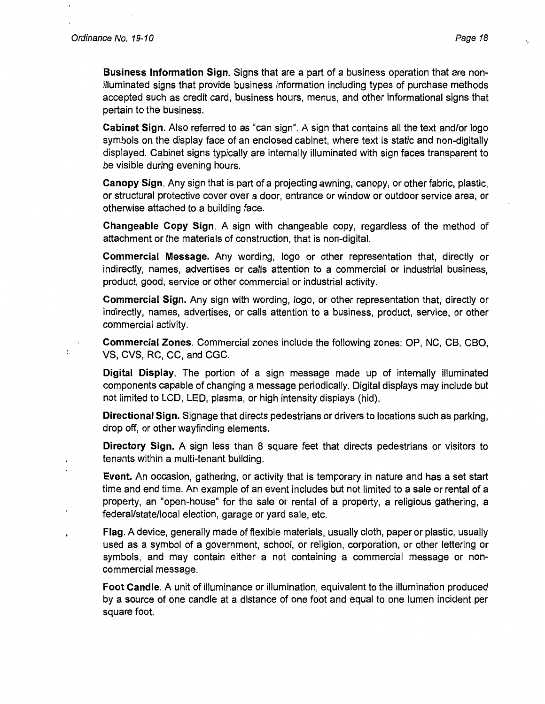Ţ

**Business Information Sign.** Signs that are a part of a business operation that are nonilluminated signs that provide business information including types of purchase methods accepted such as credit card, business hours, menus, and other informational signs that pertain to the business.

**Cabinet Sign.** Also referred to as "can sign". A sign that contains all the text and/or logo symbols on the display face of an enclosed cabinet, where text is static and non-digitally displayed. Cabinet signs typically are internally illuminated with sign faces transparent to be visible during evening hours.

**Canopy Sign.** Any sign that is part of a projecting awning, canopy, or other fabric, plastic, or structural protective cover over a door, entrance or window or outdoor service area, or otherwise attached to a building face.

**Changeable Copy Sign.** A sign with changeable copy, regardless of the method of attachment or the materials of construction, that is non-digital.

**Commercial Message.** Any wording, logo or other representation that, directly or indirectly, names, advertises or calls attention to a commercial or industrial business, product, good, service or other commercial or industrial activity.

**Commercial Sign.** Any sign with wording, logo, or other representation that, directly or indirectly, names, advertises, or calls attention to a business, product, service, or other commercial activity.

**Commercial Zones.** Commercial zones include the following zones: OP, NC, CB, CBO, VS, CVS, RC, CC, and CGC.

**Digital Display.** The portion of a sign message made up of internally illuminated components capable of changing a message periodically. Digital displays may include but not limited to LCD, LED, plasma, or high intensity displays (hid).

**Directional Sign.** Signage that directs pedestrians or drivers to locations such as parking, drop off, or other wayfinding elements.

**Directory Sign.** A sign less than 8 square feet that directs pedestrians or visitors to tenants within a multi-tenant building.

**Event.** An occasion, gathering, or activity that is temporary in nature and has a set start time and end time. An example of an event includes but not limited to a sale or rental of a property, an "open-house" for the sale or rental of a property, a religious gathering, a federal/state/local election, garage or yard sale, etc.

**Flag.** A device, generally made of flexible materials, usually cloth, paper or plastic, usually used as a symbol of a government, school, or religion, corporation, or other lettering or symbols, and may contain either a not containing a commercial message or noncommercial message.

**Foot Candle.** A unit of illuminance or illumination, equivalent to the illumination produced by a source of one candle at a distance of one foot and equal to one lumen incident per square foot.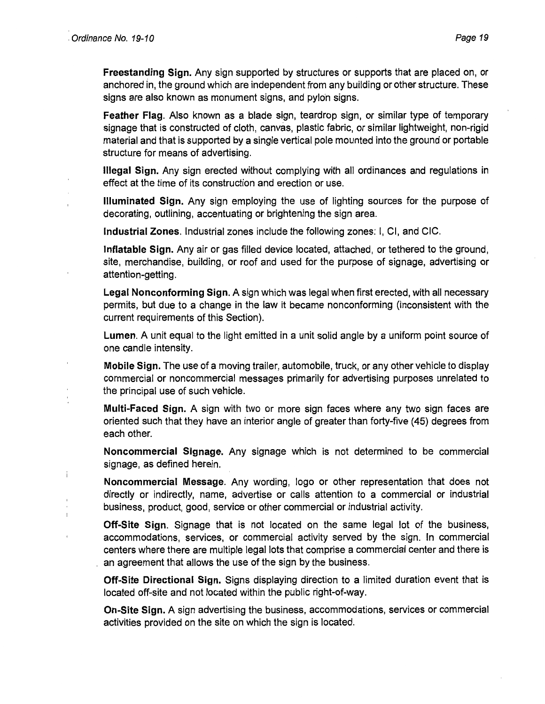Ï

**Freestanding Sign.** Any sign supported by structures or supports that are placed on, or anchored in, the ground which are independent from any building or other structure. These signs are also known as monument signs, and pylon signs.

**Feather Flag.** Also known as a blade sign, teardrop sign, or similar type of temporary signage that is constructed of cloth, canvas, plastic fabric, or similar lightweight, non-rigid material and that is supported by a single vertical pole mounted into the ground or portable structure for means of advertising.

**Illegal Sign.** Any sign erected without complying with all ordinances and regulations in effect at the time of its construction and erection or use.

**Illuminated Sign.** Any sign employing the use of lighting sources for the purpose of decorating, outlining, accentuating or brightening the sign area.

**Industrial Zones.** Industrial zones include the following zones: I, Cl, and CIC.

**Inflatable Sign.** Any air or gas filled device located, attached, or tethered to the ground, site, merchandise, building, or roof and used for the purpose of signage, advertising or attention-getting.

**Legal Nonconforming Sign.** A sign which was legal when first erected, with all necessary permits, but due to a change in the law it became nonconforming (inconsistent with the current requirements of this Section).

**Lumen.** A unit equal to the light emitted in a unit solid angle by a uniform point source of one candle intensity.

**Mobile Sign.** The use of a moving trailer, automobile, truck, or any other vehicle to display commercial or noncommercial messages primarily for advertising purposes unrelated to the principal use of such vehicle.

**Multi-Faced Sign.** A sign with two or more sign faces where any two sign faces are oriented such that they have an interior angle of greater than forty-five (45) degrees from each other.

**Noncommercial Signage.** Any signage which is not determined to be commercial signage, as defined herein.

**Noncommercial Message.** Any wording, logo or other representation that does not directly or indirectly, name, advertise or calls attention to a commercial or industrial business, product, good, service or other commercial or industrial activity.

**Off-Site Sign.** Signage that is not located on the same legal lot of the business, accommodations, services, or commercial activity served by the sign. In commercial centers where there are multiple legal lots that comprise a commercial center and there is an agreement that allows the use of the sign by the business.

**Off-Site Directional Sign.** Signs displaying direction to a limited duration event that is located off-site and not located within the public right-of-way.

**On-Site Sign.** A sign advertising the business, accommodations, services or commercial activities provided on the site on which the sign is located.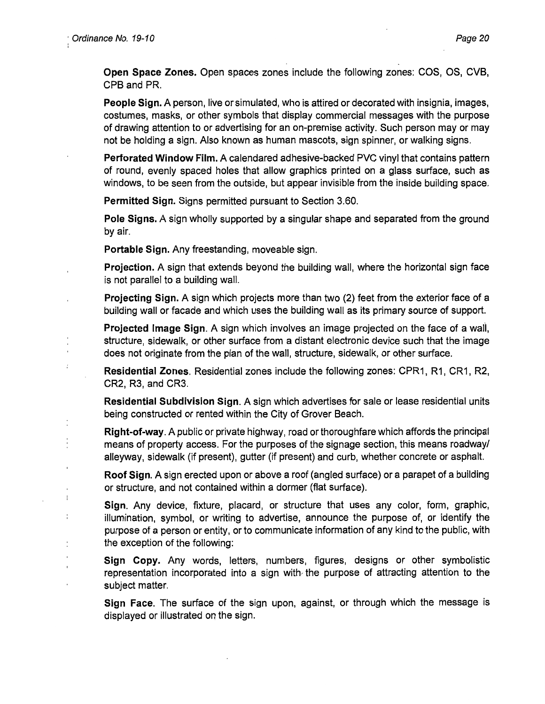$\mathbf{I}$ 

**Open Space Zones.** Open spaces zones include the following zones: COS, OS, CVB, CPB and PR.

**People Sign.** A person, live or simulated, who is attired or decorated with insignia, images, costumes, masks, or other symbols that display commercial messages with the purpose of drawing attention to or advertising for an on-premise activity. Such person may or may not be holding a sign. Also known as human mascots, sign spinner, or walking signs.

**Perforated Window Film.** A calendared adhesive-backed PVC vinyl that contains pattern of round, evenly spaced holes that allow graphics printed on a glass surface, such as windows, to be seen from the outside, but appear invisible from the inside building space.

**Permitted Sign.** Signs permitted pursuant to Section 3.60.

**Pole Signs.** A sign wholly supported by a singular shape and separated from the ground by air.

**Portable Sign.** Any freestanding, moveable sign.

**Projection.** A sign that extends beyond the building wall, where the horizontal sign face is not parallel to a building wall.

**Projecting Sign.** A sign which projects more than two (2) feet from the exterior face of a building wall or facade and which uses the building wall as its primary source of support.

**Projected Image Sign.** A sign which involves an image projected on the face of a wall, structure, sidewalk, or other surface from a distant electronic device such that the image does not originate from the plan of the wall, structure, sidewalk, or other surface.

**Residential Zones.** Residential zones include the following zones: CPR1, R1, CR1, R2, CR2, R3, and CR3.

**Residential Subdivision Sign.** A sign which advertises for sale or lease residential units being constructed or rented within the City of Grover Beach.

**Right-of-way.** A public or private highway, road or thoroughfare which affords the principal means of property access. For the purposes of the signage section, this means roadway/ alleyway, sidewalk (if present), gutter (if present) and curb, whether concrete or asphalt.

**Roof Sign.** A sign erected upon or above a roof (angled surface) or a parapet of a building or structure, and not contained within a dormer (flat surface).

**Sign.** Any device, fixture, placard, or structure that uses any color, form, graphic, illumination, symbol, or writing to advertise, announce the purpose of, or identify the purpose of a person or entity, or to communicate information of any kind to the public, with the exception of the following:

**Sign Copy.** Any words, letters, numbers, figures, designs or other symbolistic representation incorporated into a sign with, the purpose of attracting attention to the subject matter.

**Sign Face.** The surface of the sign upon, against, or through which the message is displayed or illustrated on the sign.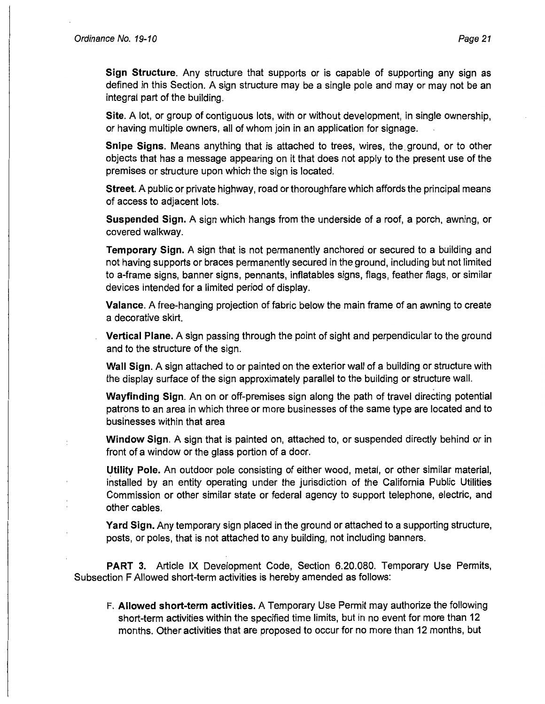÷

**Sign Structure.** Any structure that supports or is capable of supporting any sign as defined in this Section. A sign structure may be a single pole and may or may not be an integral part of the building.

**Site.** A lot, or group of contiguous lots, with or without development, in single ownership, or having multiple owners, all of whom join in an application for signage.

**Snipe Signs.** Means anything that is attached to trees, wires, the. ground, or to other objects that has a message appearing on it that does not apply to the present use of the premises or structure upon which the sign is located.

**Street.** A public or private highway, road or thoroughfare which affords the principal means of access to adjacent lots.

**Suspended Sign.** A sign which hangs from the underside of a roof, a porch, awning, or covered walkway.

**Temporary Sign.** A sign that is not permanently anchored or secured to a building and not having supports or braces permanently secured in the ground, including but not limited to a-frame signs, banner signs, pennants, inflatables signs, flags, feather flags, or similar devices intended for a limited period of display.

**Valance.** A free-hanging projection of fabric below the main frame of an awning to create a decorative skirt.

**Vertical Plane.** A sign passing through the point of sight and perpendicular to the ground and to the structure of the sign.

**Wall Sign.** A sign attached to or painted on the exterior wall of a building or structure with the display surface of the sign approximately parallel to the building or structure wall.

**Wayfinding Sign.** An on or off-premises sign along the path of travel directing potential patrons to an area in which three or more businesses of the same type are located and to businesses within that area

**Window Sign.** A sign that is painted on, attached to, or suspended directly behind or in front of a window or the glass portion of a door.

**Utility Pole.** An outdoor pole consisting of either wood, metal, or other similar material, installed by an entity operating under the jurisdiction of the California Public Utilities Commission or other similar state or federal agency to support telephone, electric, and other cables.

**Yard Sign.** Any temporary sign placed in the ground or attached to a supporting structure, posts, or poles, that is not attached to any building, not including banners.

**PART 3.** Article IX Development Code, Section 6.20.080. Temporary Use Permits, Subsection F Allowed short-term activities is hereby amended as follows:

F. **Allowed short-term activities.** A Temporary Use Permit may authorize the following short-term activities within the specified time limits, but in no event for more than 12 months. Other activities that are proposed to occur for no more than 12 months, but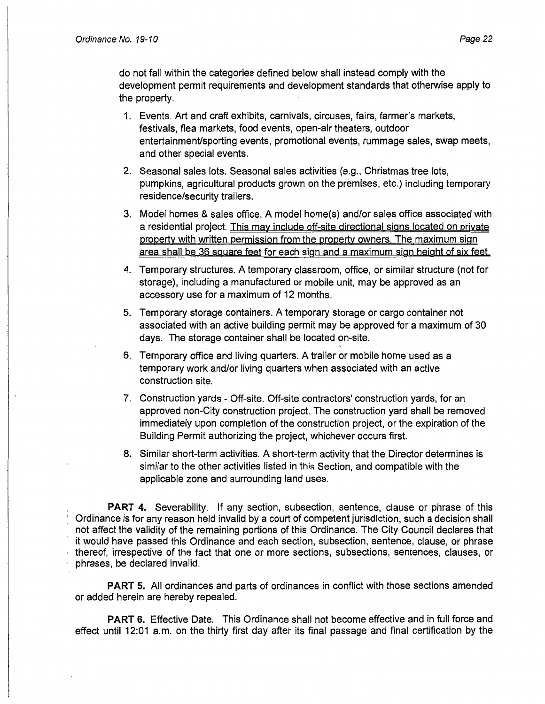do not fall within the categories defined below shall instead comply with the development permit requirements and development standards that otherwise apply to the property.

- 1. Events. Art and craft exhibits, carnivals, circuses, fairs, farmer's markets, festivals, flea markets, food events, open-air theaters, outdoor entertainment/sporting events, promotional events, rummage sales, swap meets, and other special events.
- 2. Seasonal sales lots. Seasonal sales activities (e.g., Christmas tree lots, pumpkins, agricultural products grown on the premises, etc.) including temporary residence/security trailers.
- 3. Model homes & sales office. A model home(s) and/or sales office associated with a residential project. This may include off-site directional signs located on private property with written permission from the property owners. The maximum sign area shall be 36 square feet for each sign and a maximum sign height of six feet.
- 4. Temporary structures. A temporary classroom, office, or similar structure (not for storage), including a manufactured or mobile unit, may be approved as an accessory use for a maximum of 12 months.
- 5. Temporary storage containers. A temporary storage or cargo container not associated with an active building permit may be approved for a maximum of 30 days. The storage container shall be located on-site.
- 6. Temporary office and living quarters. A trailer or mobile home used as a temporary work and/or living quarters when associated with an active construction site.
- 7. Construction yards Off-site. Off-site contractors' construction yards, for an approved non-City construction project. The construction yard shall be removed immediately upon completion of the construction project, or the expiration of the Building Permit authorizing the project, whichever occurs first.
- 8. Similar short-term activities. A short-term activity that the Director determines is similar to the other activities listed in this Section, and compatible with the applicable zone and surrounding land uses.

**PART 4.** Severability. If any section, subsection, sentence, clause or phrase of this Ordinance is for any reason held invalid by a court of competent jurisdiction, such a decision shall not affect the validity of the remaining portions of this Ordinance. The City Council declares that it would have passed this Ordinance and each section, subsection, sentence, clause, or phrase thereof, irrespective of the fact that one or more sections, subsections, sentences, clauses, or phrases, be declared invalid.

**PART** 5. All ordinances and parts of ordinances in conflict with those sections amended or added herein are hereby repealed.

**PART** 6. Effective Date. This Ordinance shall not become effective and in full force and effect until 12:01 a.m. on the thirty first day after its final passage and final certification by the